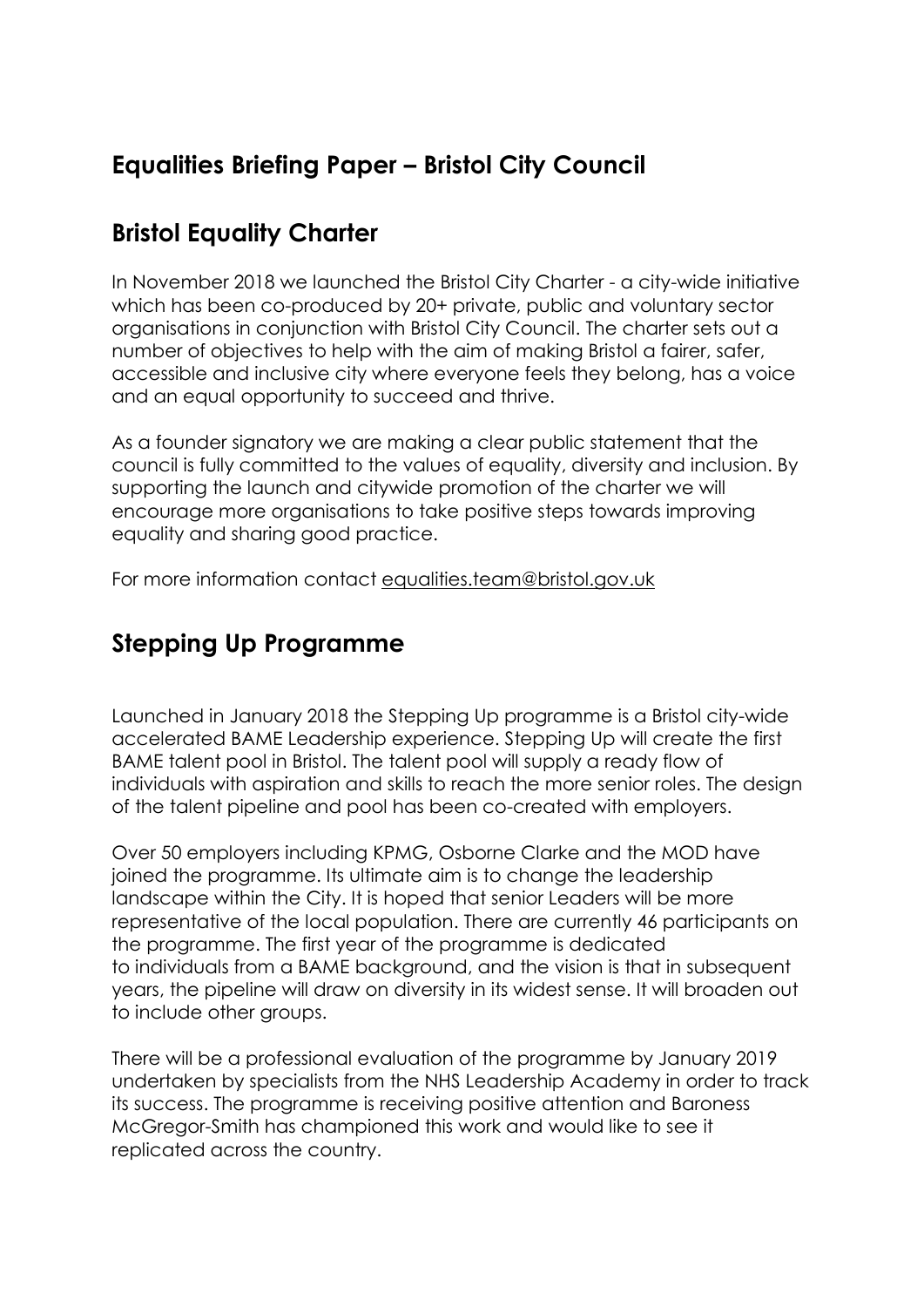### **Equalities Briefing Paper – Bristol City Council**

#### **Bristol Equality Charter**

In November 2018 we launched the Bristol City Charter - a city-wide initiative which has been co-produced by 20+ private, public and voluntary sector organisations in conjunction with Bristol City Council. The charter sets out a number of objectives to help with the aim of making Bristol a fairer, safer, accessible and inclusive city where everyone feels they belong, has a voice and an equal opportunity to succeed and thrive.

As a founder signatory we are making a clear public statement that the council is fully committed to the values of equality, diversity and inclusion. By supporting the launch and citywide promotion of the charter we will encourage more organisations to take positive steps towards improving equality and sharing good practice.

For more information contact [equalities.team@bristol.gov.uk](mailto:equalities.team@bristol.gov.uk)

# **Stepping Up Programme**

Launched in January 2018 the Stepping Up programme is a Bristol city-wide accelerated BAME Leadership experience. Stepping Up will create the first BAME talent pool in Bristol. The talent pool will supply a ready flow of individuals with aspiration and skills to reach the more senior roles. The design of the talent pipeline and pool has been co-created with employers.

Over 50 employers including KPMG, Osborne Clarke and the MOD have joined the programme. Its ultimate aim is to change the leadership landscape within the City. It is hoped that senior Leaders will be more representative of the local population. There are currently 46 participants on the programme. The first year of the programme is dedicated to individuals from a BAME background, and the vision is that in subsequent years, the pipeline will draw on diversity in its widest sense. It will broaden out to include other groups.

There will be a professional evaluation of the programme by January 2019 undertaken by specialists from the NHS Leadership Academy in order to track its success. The programme is receiving positive attention and Baroness McGregor-Smith has championed this work and would like to see it replicated across the country.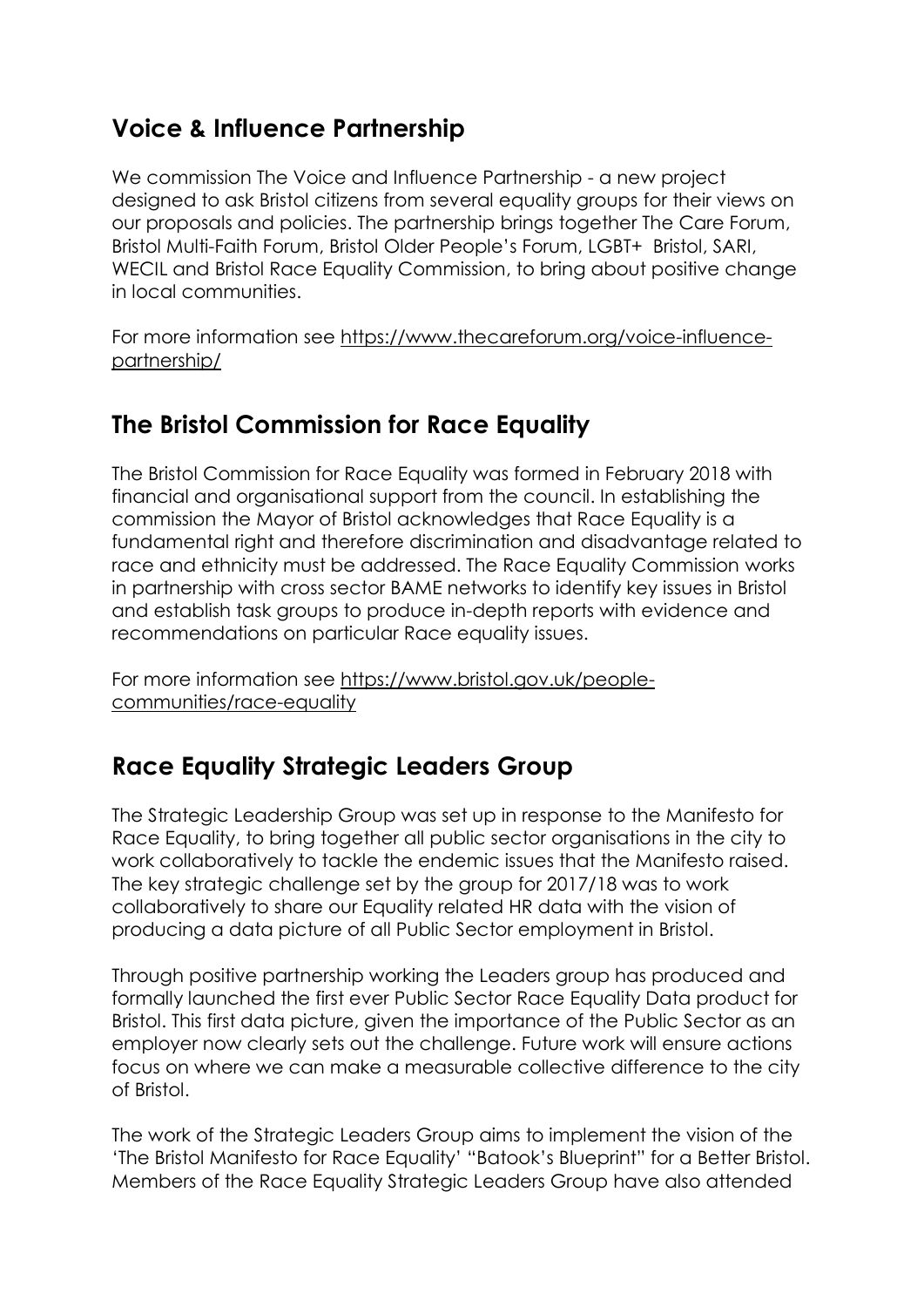#### **Voice & Influence Partnership**

We commission The Voice and Influence Partnership - a new project designed to ask Bristol citizens from several equality groups for their views on our proposals and policies. The partnership brings together The Care Forum, Bristol Multi-Faith Forum, Bristol Older People's Forum, LGBT+ Bristol, SARI, WECIL and Bristol Race Equality Commission, to bring about positive change in local communities.

For more information see [https://www.thecareforum.org/voice-influence](https://www.thecareforum.org/voice-influence-partnership/)[partnership/](https://www.thecareforum.org/voice-influence-partnership/)

#### **The Bristol Commission for Race Equality**

The Bristol Commission for Race Equality was formed in February 2018 with financial and organisational support from the council. In establishing the commission the Mayor of Bristol acknowledges that Race Equality is a fundamental right and therefore discrimination and disadvantage related to race and ethnicity must be addressed. The Race Equality Commission works in partnership with cross sector BAME networks to identify key issues in Bristol and establish task groups to produce in-depth reports with evidence and recommendations on particular Race equality issues.

For more information see [https://www.bristol.gov.uk/people](https://www.bristol.gov.uk/people-communities/race-equality)[communities/race-equality](https://www.bristol.gov.uk/people-communities/race-equality)

#### **Race Equality Strategic Leaders Group**

The Strategic Leadership Group was set up in response to the Manifesto for Race Equality, to bring together all public sector organisations in the city to work collaboratively to tackle the endemic issues that the Manifesto raised. The key strategic challenge set by the group for 2017/18 was to work collaboratively to share our Equality related HR data with the vision of producing a data picture of all Public Sector employment in Bristol.

Through positive partnership working the Leaders group has produced and formally launched the first ever Public Sector Race Equality Data product for Bristol. This first data picture, given the importance of the Public Sector as an employer now clearly sets out the challenge. Future work will ensure actions focus on where we can make a measurable collective difference to the city of Bristol.

The work of the Strategic Leaders Group aims to implement the vision of the 'The Bristol Manifesto for Race Equality' "Batook's Blueprint" for a Better Bristol. Members of the Race Equality Strategic Leaders Group have also attended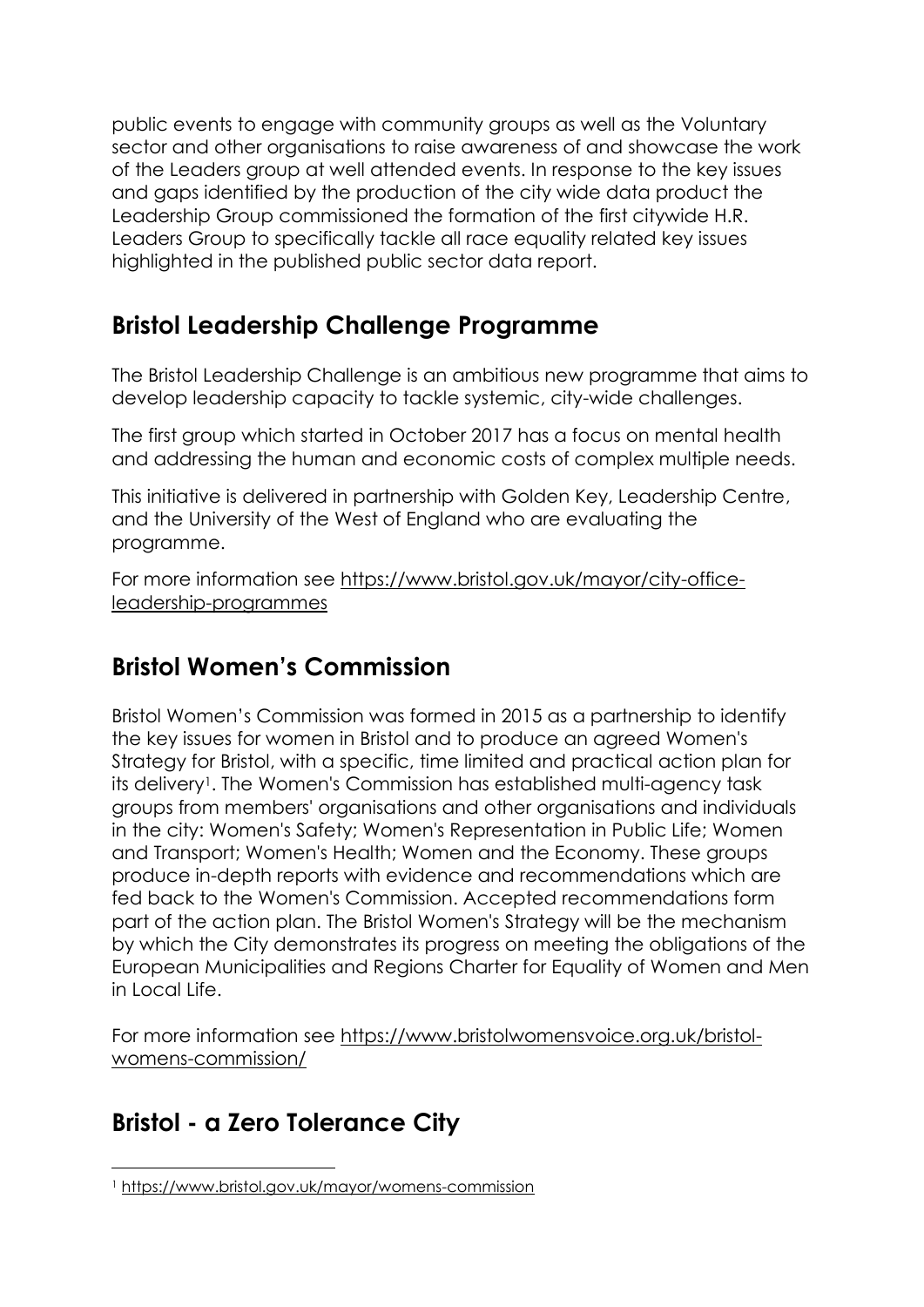public events to engage with community groups as well as the Voluntary sector and other organisations to raise awareness of and showcase the work of the Leaders group at well attended events. In response to the key issues and gaps identified by the production of the city wide data product the Leadership Group commissioned the formation of the first citywide H.R. Leaders Group to specifically tackle all race equality related key issues highlighted in the published public sector data report.

### **Bristol Leadership Challenge Programme**

The Bristol Leadership Challenge is an ambitious new programme that aims to develop leadership capacity to tackle systemic, city-wide challenges.

The first group which started in October 2017 has a focus on mental health and addressing the human and economic costs of complex multiple needs.

This initiative is delivered in partnership with Golden Key, Leadership Centre, and the University of the West of England who are evaluating the programme.

For more information see [https://www.bristol.gov.uk/mayor/city-office](https://www.bristol.gov.uk/mayor/city-office-leadership-programmes)[leadership-programmes](https://www.bristol.gov.uk/mayor/city-office-leadership-programmes)

# **Bristol Women's Commission**

Bristol Women's Commission was formed in 2015 as a partnership to identify the key issues for women in Bristol and to produce an agreed Women's Strategy for Bristol, with a specific, time limited and practical action plan for its delivery<sup>1</sup>. The Women's Commission has established multi-agency task groups from members' organisations and other organisations and individuals in the city: Women's Safety; Women's Representation in Public Life; Women and Transport; Women's Health; Women and the Economy. These groups produce in-depth reports with evidence and recommendations which are fed back to the Women's Commission. Accepted recommendations form part of the action plan. The Bristol Women's Strategy will be the mechanism by which the City demonstrates its progress on meeting the obligations of the European Municipalities and Regions Charter for Equality of Women and Men in Local Life.

For more information see [https://www.bristolwomensvoice.org.uk/bristol](https://www.bristolwomensvoice.org.uk/bristol-womens-commission/)[womens-commission/](https://www.bristolwomensvoice.org.uk/bristol-womens-commission/)

# **Bristol - a Zero Tolerance City**

 $\overline{a}$ <sup>1</sup> <https://www.bristol.gov.uk/mayor/womens-commission>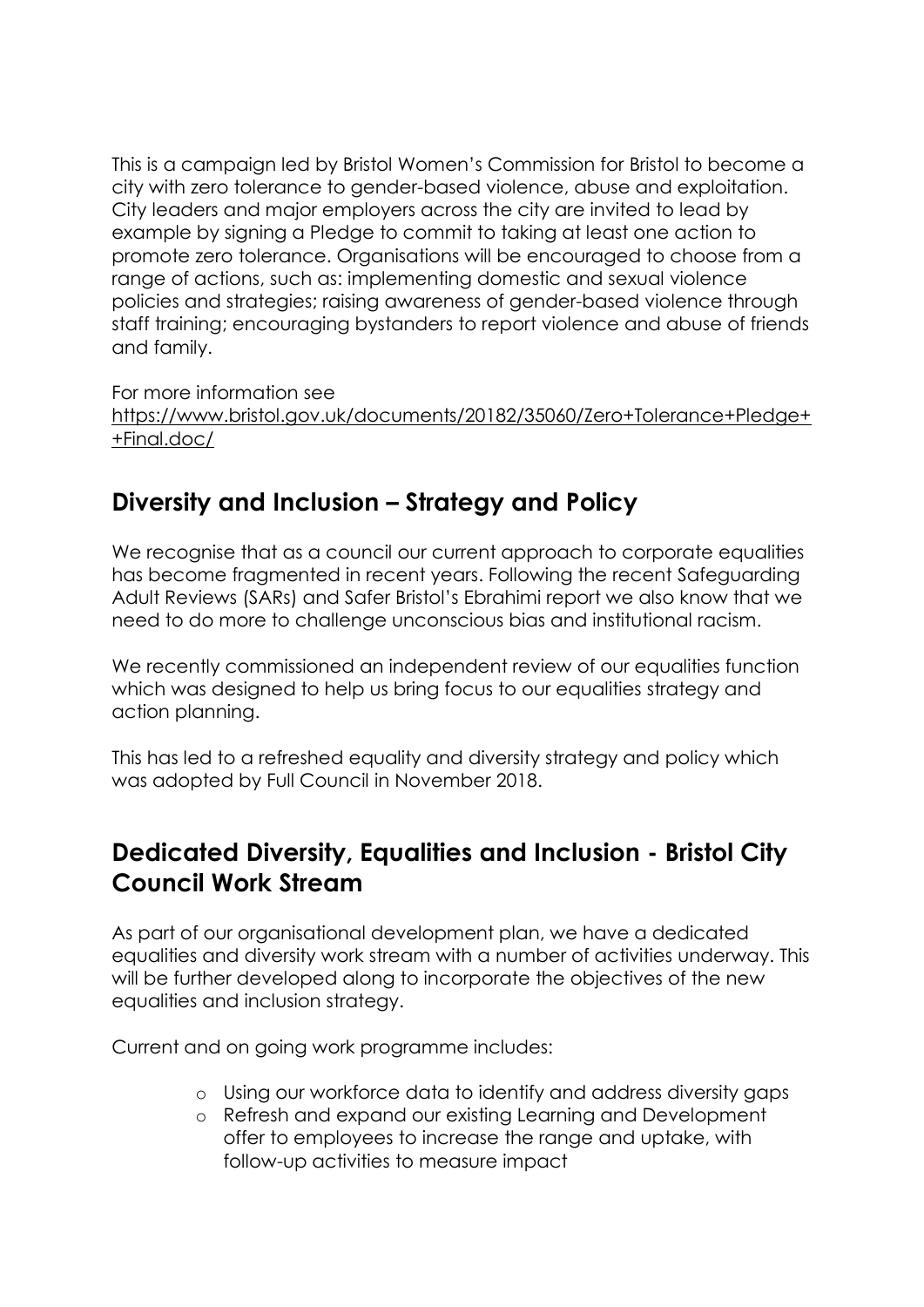This is a campaign led by Bristol Women's Commission for Bristol to become a city with zero tolerance to gender-based violence, abuse and exploitation. City leaders and major employers across the city are invited to lead by example by signing a Pledge to commit to taking at least one action to promote zero tolerance. Organisations will be encouraged to choose from a range of actions, such as: implementing domestic and sexual violence policies and strategies; raising awareness of gender-based violence through staff training; encouraging bystanders to report violence and abuse of friends and family.

For more information see

[https://www.bristol.gov.uk/documents/20182/35060/Zero+Tolerance+Pledge+](https://www.bristol.gov.uk/documents/20182/35060/Zero+Tolerance+Pledge++Final.doc/) [+Final.doc/](https://www.bristol.gov.uk/documents/20182/35060/Zero+Tolerance+Pledge++Final.doc/)

# **Diversity and Inclusion – Strategy and Policy**

We recognise that as a council our current approach to corporate equalities has become fragmented in recent years. Following the recent Safeguarding Adult Reviews (SARs) and Safer Bristol's Ebrahimi report we also know that we need to do more to challenge unconscious bias and institutional racism.

We recently commissioned an independent review of our equalities function which was designed to help us bring focus to our equalities strategy and action planning.

This has led to a refreshed equality and diversity strategy and policy which was adopted by Full Council in November 2018.

# **Dedicated Diversity, Equalities and Inclusion - Bristol City Council Work Stream**

As part of our organisational development plan, we have a dedicated equalities and diversity work stream with a number of activities underway. This will be further developed along to incorporate the objectives of the new equalities and inclusion strategy.

Current and on going work programme includes:

- o Using our workforce data to identify and address diversity gaps
- o Refresh and expand our existing Learning and Development offer to employees to increase the range and uptake, with follow-up activities to measure impact